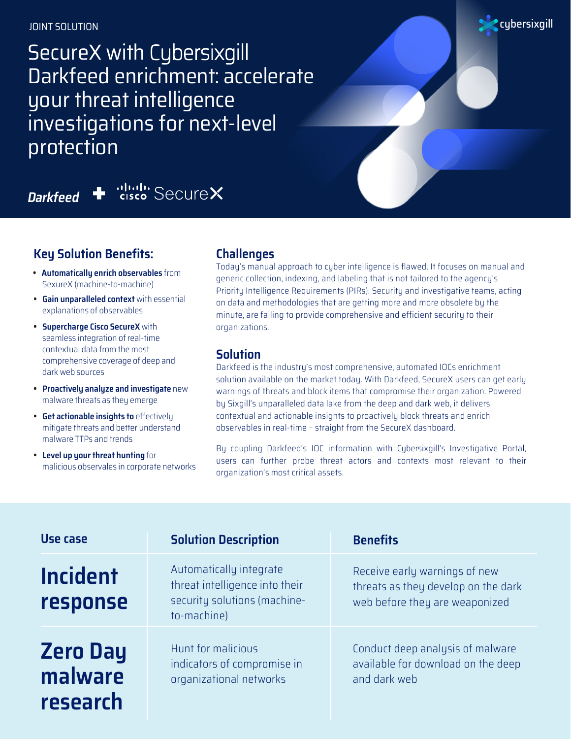JOINT SOLUTION

SecureX with Cybersixgill Darkfeed enrichment: accelerate your threat intelligence investigations for next-level protection

cisco SecureX

**Darkfeed**

## **Key Solution Benefits:**

- **• Automatically enrich observables** from SexureX (machine-to-machine)
- **• Gain unparalleled context** with essential explanations of observables
- **• Supercharge Cisco SecureX** with seamless integration of real-time contextual data from the most comprehensive coverage of deep and dark web sources
- **• Proactively analyze and investigate** new malware threats as they emerge
- **• Get actionable insights to** effectively mitigate threats and better understand malware TTPs and trends
- **• Level up your threat hunting** for malicious observales in corporate networks

### **Challenges**

Today's manual approach to cyber intelligence is flawed. It focuses on manual and generic collection, indexing, and labeling that is not tailored to the agency's Priority Intelligence Requirements (PIRs). Security and investigative teams, acting on data and methodologies that are getting more and more obsolete by the minute, are failing to provide comprehensive and efficient security to their organizations.

cybersixgill

#### **Solution**

Darkfeed is the industry's most comprehensive, automated IOCs enrichment solution available on the market today. With Darkfeed, SecureX users can get early warnings of threats and block items that compromise their organization. Powered by Sixgill's unparalleled data lake from the deep and dark web, it delivers contextual and actionable insights to proactively block threats and enrich observables in real-time – straight from the SecureX dashboard.

By coupling Darkfeed's IOC information with Cybersixgill's Investigative Portal, users can further probe threat actors and contexts most relevant to their organization's most critical assets.

| Use case                               | <b>Solution Description</b>                                                                              | <b>Benefits</b>                                                                                        |
|----------------------------------------|----------------------------------------------------------------------------------------------------------|--------------------------------------------------------------------------------------------------------|
| <b>Incident</b><br>response            | Automatically integrate<br>threat intelligence into their<br>security solutions (machine-<br>to-machine) | Receive early warnings of new<br>threats as they develop on the dark<br>web before they are weaponized |
| <b>Zero Day</b><br>malware<br>research | Hunt for malicious<br>indicators of compromise in<br>organizational networks                             | Conduct deep analysis of malware<br>available for download on the deep<br>and dark web                 |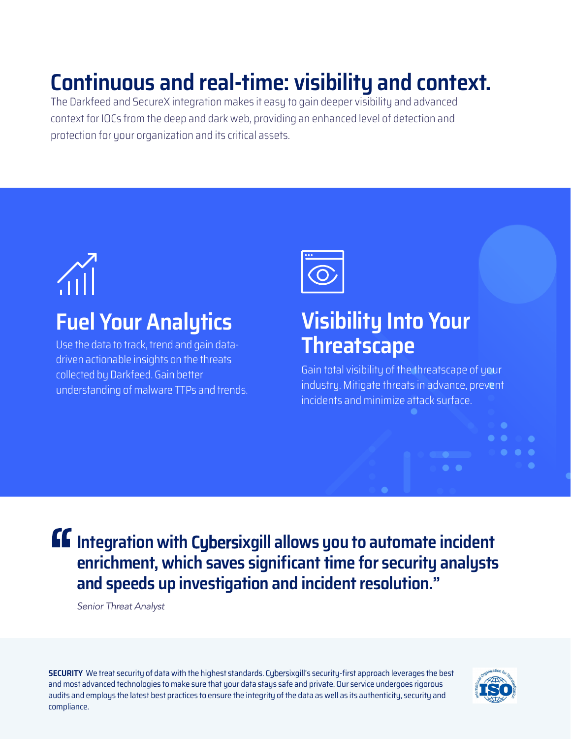# **Continuous and real-time: visibility and context.**

The Darkfeed and SecureX integration makes it easy to gain deeper visibility and advanced context for IOCs from the deep and dark web, providing an enhanced level of detection and protection for your organization and its critical assets.

# **Fuel Your Analytics**

Use the data to track, trend and gain datadriven actionable insights on the threats collected by Darkfeed. Gain better understanding of malware TTPs and trends.



## **Visibility Into Your Threatscape**

Gain total visibility of the threatscape of your industry. Mitigate threats in advance, prevent incidents and minimize attack surface.

**Integration with** Cybers**ixgill allows you to automate incident enrichment, which saves significant time for security analysts and speeds up investigation and incident resolution."**

Senior Threat Analyst

**SECURITY** We treat security of data with the highest standards. Cybersixgill's security-first approach leverages the best and most advanced technologies to make sure that your data stays safe and private. Our service undergoes rigorous audits and employs the latest best practices to ensure the integrity of the data as well as its authenticity, security and compliance.